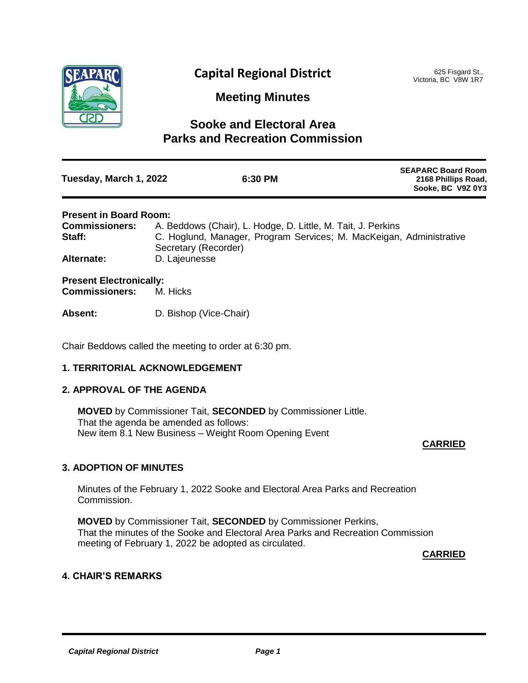

# **Capital Regional District**

625 Fisgard St., Victoria, BC V8W 1R7

**Meeting Minutes**

## **Sooke and Electoral Area Parks and Recreation Commission**

| Tuesday, March 1, 2022                                  | 6:30 PM                                                                                     | <b>SEAPARC Board Room</b><br>2168 Phillips Road,<br>Sooke, BC V9Z 0Y3 |
|---------------------------------------------------------|---------------------------------------------------------------------------------------------|-----------------------------------------------------------------------|
| <b>Present in Board Room:</b>                           |                                                                                             |                                                                       |
| <b>Commissioners:</b>                                   | A. Beddows (Chair), L. Hodge, D. Little, M. Tait, J. Perkins                                |                                                                       |
| Staff:                                                  | C. Hoglund, Manager, Program Services; M. MacKeigan, Administrative<br>Secretary (Recorder) |                                                                       |
| Alternate:                                              | D. Lajeunesse                                                                               |                                                                       |
| <b>Present Electronically:</b><br><b>Commissioners:</b> | M. Hicks                                                                                    |                                                                       |

**Absent:** D. Bishop (Vice-Chair)

Chair Beddows called the meeting to order at 6:30 pm.

## **1. TERRITORIAL ACKNOWLEDGEMENT**

## **2. APPROVAL OF THE AGENDA**

**MOVED** by Commissioner Tait, **SECONDED** by Commissioner Little. That the agenda be amended as follows: New item 8.1 New Business – Weight Room Opening Event

## **CARRIED**

## **3. ADOPTION OF MINUTES**

Minutes of the February 1, 2022 Sooke and Electoral Area Parks and Recreation Commission.

**MOVED** by Commissioner Tait, **SECONDED** by Commissioner Perkins, That the minutes of the Sooke and Electoral Area Parks and Recreation Commission meeting of February 1, 2022 be adopted as circulated.

**CARRIED**

## **4. CHAIR'S REMARKS**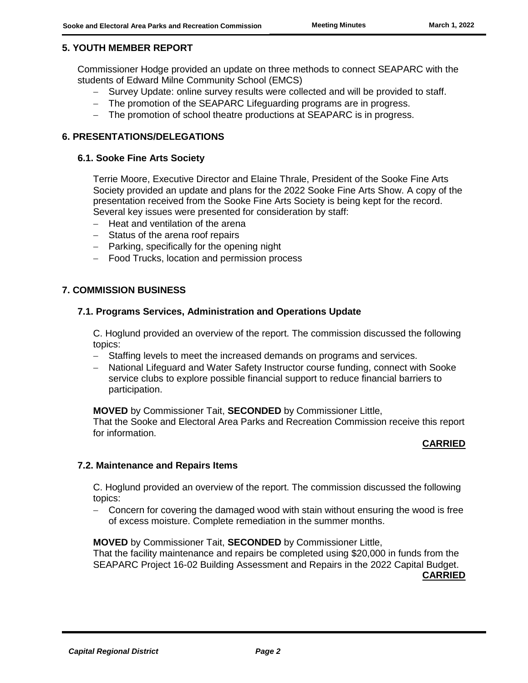## **5. YOUTH MEMBER REPORT**

Commissioner Hodge provided an update on three methods to connect SEAPARC with the students of Edward Milne Community School (EMCS)

- Survey Update: online survey results were collected and will be provided to staff.
- The promotion of the SEAPARC Lifeguarding programs are in progress.
- The promotion of school theatre productions at SEAPARC is in progress.

## **6. PRESENTATIONS/DELEGATIONS**

#### **6.1. Sooke Fine Arts Society**

Terrie Moore, Executive Director and Elaine Thrale, President of the Sooke Fine Arts Society provided an update and plans for the 2022 Sooke Fine Arts Show. A copy of the presentation received from the Sooke Fine Arts Society is being kept for the record. Several key issues were presented for consideration by staff:

- $-$  Heat and ventilation of the arena
- Status of the arena roof repairs
- Parking, specifically for the opening night
- Food Trucks, location and permission process

## **7. COMMISSION BUSINESS**

#### **7.1. Programs Services, Administration and Operations Update**

C. Hoglund provided an overview of the report. The commission discussed the following topics:

- Staffing levels to meet the increased demands on programs and services.
- National Lifeguard and Water Safety Instructor course funding, connect with Sooke service clubs to explore possible financial support to reduce financial barriers to participation.

**MOVED** by Commissioner Tait, **SECONDED** by Commissioner Little,

That the Sooke and Electoral Area Parks and Recreation Commission receive this report for information.

#### **CARRIED**

#### **7.2. Maintenance and Repairs Items**

C. Hoglund provided an overview of the report. The commission discussed the following topics:

 Concern for covering the damaged wood with stain without ensuring the wood is free of excess moisture. Complete remediation in the summer months.

**MOVED** by Commissioner Tait, **SECONDED** by Commissioner Little,

That the facility maintenance and repairs be completed using \$20,000 in funds from the SEAPARC Project 16-02 Building Assessment and Repairs in the 2022 Capital Budget.

**CARRIED**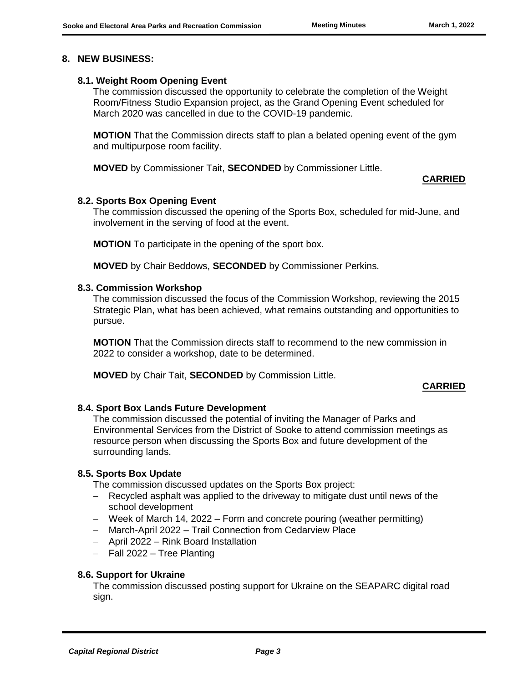## **8. NEW BUSINESS:**

## **8.1. Weight Room Opening Event**

The commission discussed the opportunity to celebrate the completion of the Weight Room/Fitness Studio Expansion project, as the Grand Opening Event scheduled for March 2020 was cancelled in due to the COVID-19 pandemic.

**MOTION** That the Commission directs staff to plan a belated opening event of the gym and multipurpose room facility.

**MOVED** by Commissioner Tait, **SECONDED** by Commissioner Little.

## **CARRIED**

## **8.2. Sports Box Opening Event**

The commission discussed the opening of the Sports Box, scheduled for mid-June, and involvement in the serving of food at the event.

**MOTION** To participate in the opening of the sport box.

**MOVED** by Chair Beddows, **SECONDED** by Commissioner Perkins.

## **8.3. Commission Workshop**

The commission discussed the focus of the Commission Workshop, reviewing the 2015 Strategic Plan, what has been achieved, what remains outstanding and opportunities to pursue.

**MOTION** That the Commission directs staff to recommend to the new commission in 2022 to consider a workshop, date to be determined.

**MOVED** by Chair Tait, **SECONDED** by Commission Little.

## **CARRIED**

## **8.4. Sport Box Lands Future Development**

The commission discussed the potential of inviting the Manager of Parks and Environmental Services from the District of Sooke to attend commission meetings as resource person when discussing the Sports Box and future development of the surrounding lands.

#### **8.5. Sports Box Update**

The commission discussed updates on the Sports Box project:

- Recycled asphalt was applied to the driveway to mitigate dust until news of the school development
- Week of March 14, 2022 Form and concrete pouring (weather permitting)
- March-April 2022 Trail Connection from Cedarview Place
- April 2022 Rink Board Installation
- Fall 2022 Tree Planting

#### **8.6. Support for Ukraine**

The commission discussed posting support for Ukraine on the SEAPARC digital road sign.